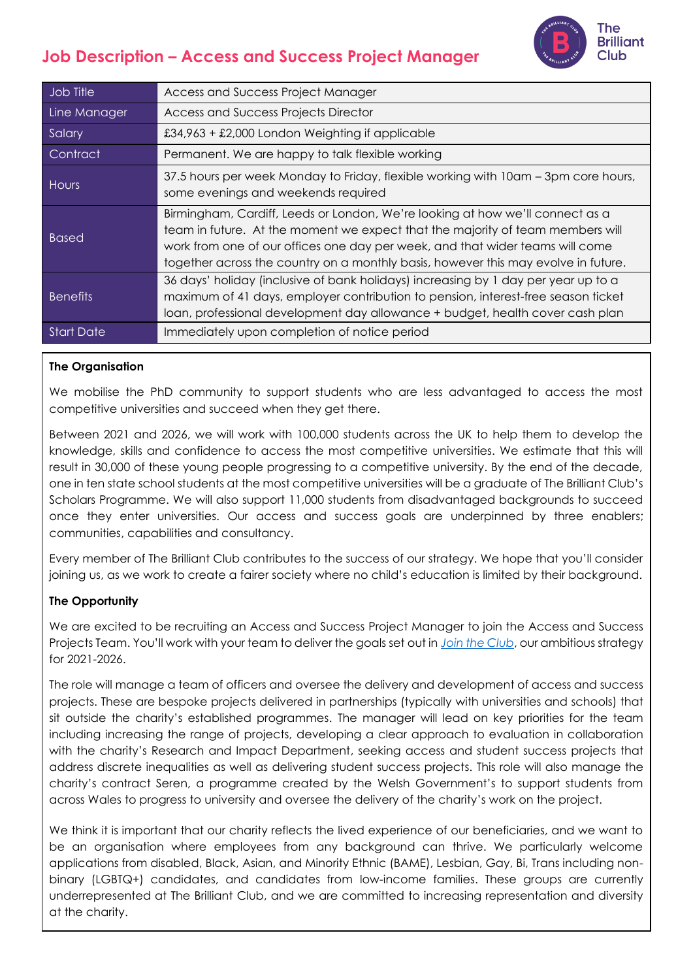# **Job Description – Access and Success Project Manager**



| Job Title         | Access and Success Project Manager                                                                                                                                                                                                                                                                                                     |
|-------------------|----------------------------------------------------------------------------------------------------------------------------------------------------------------------------------------------------------------------------------------------------------------------------------------------------------------------------------------|
| Line Manager      | <b>Access and Success Projects Director</b>                                                                                                                                                                                                                                                                                            |
| Salary            | $£34,963 + £2,000$ London Weighting if applicable                                                                                                                                                                                                                                                                                      |
| Contract          | Permanent. We are happy to talk flexible working                                                                                                                                                                                                                                                                                       |
| Hours             | 37.5 hours per week Monday to Friday, flexible working with 10am – 3pm core hours,<br>some evenings and weekends required                                                                                                                                                                                                              |
| <b>Based</b>      | Birmingham, Cardiff, Leeds or London, We're looking at how we'll connect as a<br>team in future. At the moment we expect that the majority of team members will<br>work from one of our offices one day per week, and that wider teams will come<br>together across the country on a monthly basis, however this may evolve in future. |
| <b>Benefits</b>   | 36 days' holiday (inclusive of bank holidays) increasing by 1 day per year up to a<br>maximum of 41 days, employer contribution to pension, interest-free season ticket<br>loan, professional development day allowance + budget, health cover cash plan                                                                               |
| <b>Start Date</b> | Immediately upon completion of notice period                                                                                                                                                                                                                                                                                           |
|                   |                                                                                                                                                                                                                                                                                                                                        |

## **The Organisation**

We mobilise the PhD community to support students who are less advantaged to access the most competitive universities and succeed when they get there.

Between 2021 and 2026, we will work with 100,000 students across the UK to help them to develop the knowledge, skills and confidence to access the most competitive universities. We estimate that this will result in 30,000 of these young people progressing to a competitive university. By the end of the decade, one in ten state school students at the most competitive universities will be a graduate of The Brilliant Club's Scholars Programme. We will also support 11,000 students from disadvantaged backgrounds to succeed once they enter universities. Our access and success goals are underpinned by three enablers; communities, capabilities and consultancy.

Every member of The Brilliant Club contributes to the success of our strategy. We hope that you'll consider joining us, as we work to create a fairer society where no child's education is limited by their background.

## **The Opportunity**

We are excited to be recruiting an Access and Success Project Manager to join the Access and Success Projects Team. You'll work with your team to deliver the goals set out in *[Join the Club](https://thebrilliantclub.org/wp-content/uploads/2021/09/Join-the-Club-2021-26.pdf)*, our ambitious strategy for 2021-2026.

The role will manage a team of officers and oversee the delivery and development of access and success projects. These are bespoke projects delivered in partnerships (typically with universities and schools) that sit outside the charity's established programmes. The manager will lead on key priorities for the team including increasing the range of projects, developing a clear approach to evaluation in collaboration with the charity's Research and Impact Department, seeking access and student success projects that address discrete inequalities as well as delivering student success projects. This role will also manage the charity's contract Seren, a programme created by the Welsh Government's to support students from across Wales to progress to university and oversee the delivery of the charity's work on the project.

We think it is important that our charity reflects the lived experience of our beneficiaries, and we want to be an organisation where employees from any background can thrive. We particularly welcome applications from disabled, Black, Asian, and Minority Ethnic (BAME), Lesbian, Gay, Bi, Trans including nonbinary (LGBTQ+) candidates, and candidates from low-income families. These groups are currently underrepresented at The Brilliant Club, and we are committed to increasing representation and diversity at the charity.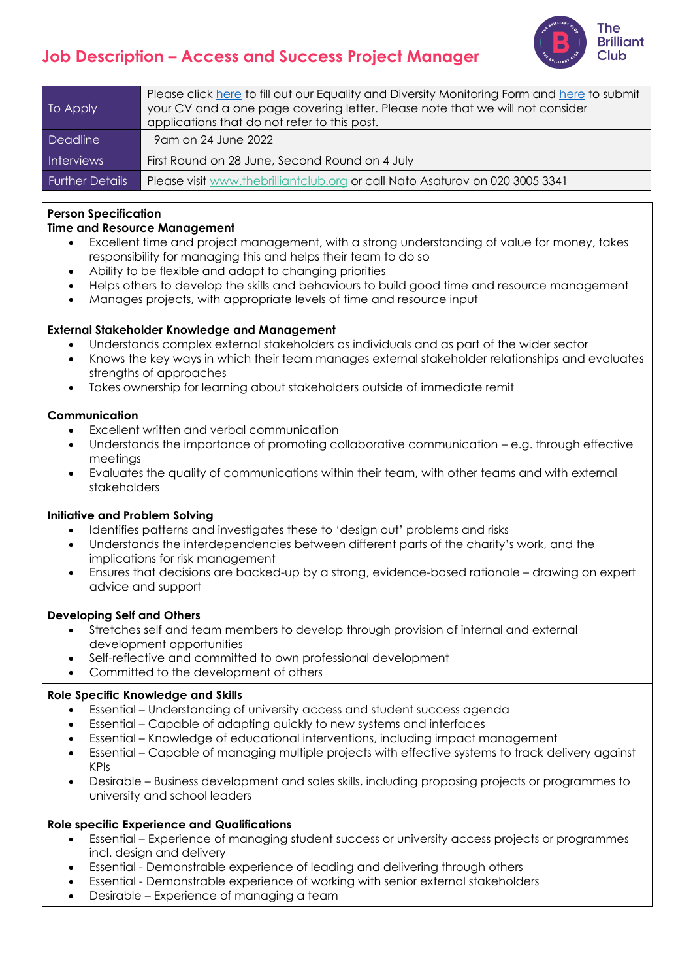## The **Brilliant** Club

## **Job Description – Access and Success Project Manager**

| To Apply               | Please click here to fill out our Equality and Diversity Monitoring Form and here to submit<br>your CV and a one page covering letter. Please note that we will not consider<br>applications that do not refer to this post. |
|------------------------|------------------------------------------------------------------------------------------------------------------------------------------------------------------------------------------------------------------------------|
| Deadline               | 9 am on 24 June 2022                                                                                                                                                                                                         |
| Interviews             | First Round on 28 June, Second Round on 4 July                                                                                                                                                                               |
| <b>Further Details</b> | Please visit www.thebrilliantclub.org or call Nato Asaturov on 020 3005 3341                                                                                                                                                 |

## **Person Specification**

#### **Time and Resource Management**

- Excellent time and project management, with a strong understanding of value for money, takes responsibility for managing this and helps their team to do so
- Ability to be flexible and adapt to changing priorities
- Helps others to develop the skills and behaviours to build good time and resource management
- Manages projects, with appropriate levels of time and resource input

#### **External Stakeholder Knowledge and Management**

- Understands complex external stakeholders as individuals and as part of the wider sector
- Knows the key ways in which their team manages external stakeholder relationships and evaluates strengths of approaches
- Takes ownership for learning about stakeholders outside of immediate remit

#### **Communication**

- Excellent written and verbal communication
- Understands the importance of promoting collaborative communication e.g. through effective meetings
- Evaluates the quality of communications within their team, with other teams and with external stakeholders

#### **Initiative and Problem Solving**

- Identifies patterns and investigates these to 'design out' problems and risks
- Understands the interdependencies between different parts of the charity's work, and the implications for risk management
- Ensures that decisions are backed-up by a strong, evidence-based rationale drawing on expert advice and support

#### **Developing Self and Others**

- Stretches self and team members to develop through provision of internal and external development opportunities
- Self-reflective and committed to own professional development
- Committed to the development of others

#### **Role Specific Knowledge and Skills**

- Essential Understanding of university access and student success agenda
- Essential Capable of adapting quickly to new systems and interfaces
- Essential Knowledge of educational interventions, including impact management
- Essential Capable of managing multiple projects with effective systems to track delivery against KPIs
- Desirable Business development and sales skills, including proposing projects or programmes to university and school leaders

#### **Role specific Experience and Qualifications**

- Essential Experience of managing student success or university access projects or programmes incl. design and delivery
- Essential Demonstrable experience of leading and delivering through others
- Essential Demonstrable experience of working with senior external stakeholders
- Desirable Experience of managing a team